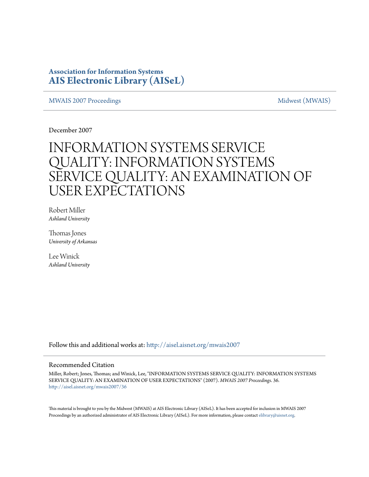### **Association for Information Systems [AIS Electronic Library \(AISeL\)](http://aisel.aisnet.org?utm_source=aisel.aisnet.org%2Fmwais2007%2F36&utm_medium=PDF&utm_campaign=PDFCoverPages)**

#### [MWAIS 2007 Proceedings](http://aisel.aisnet.org/mwais2007?utm_source=aisel.aisnet.org%2Fmwais2007%2F36&utm_medium=PDF&utm_campaign=PDFCoverPages) and the matrix of the [Midwest \(MWAIS\)](http://aisel.aisnet.org/mwais?utm_source=aisel.aisnet.org%2Fmwais2007%2F36&utm_medium=PDF&utm_campaign=PDFCoverPages)

December 2007

# INFORMATION SYSTEMS SERVICE QUALITY: INFORMATION SYSTEMS SERVICE QUALITY: AN EXAMINATION OF USER EXPECTATIONS

Robert Miller *Ashland University*

Thomas Jones *University of Arkansas*

Lee Winick *Ashland University*

Follow this and additional works at: [http://aisel.aisnet.org/mwais2007](http://aisel.aisnet.org/mwais2007?utm_source=aisel.aisnet.org%2Fmwais2007%2F36&utm_medium=PDF&utm_campaign=PDFCoverPages)

#### Recommended Citation

Miller, Robert; Jones, Thomas; and Winick, Lee, "INFORMATION SYSTEMS SERVICE QUALITY: INFORMATION SYSTEMS SERVICE QUALITY: AN EXAMINATION OF USER EXPECTATIONS" (2007). *MWAIS 2007 Proceedings*. 36. [http://aisel.aisnet.org/mwais2007/36](http://aisel.aisnet.org/mwais2007/36?utm_source=aisel.aisnet.org%2Fmwais2007%2F36&utm_medium=PDF&utm_campaign=PDFCoverPages)

This material is brought to you by the Midwest (MWAIS) at AIS Electronic Library (AISeL). It has been accepted for inclusion in MWAIS 2007 Proceedings by an authorized administrator of AIS Electronic Library (AISeL). For more information, please contact [elibrary@aisnet.org](mailto:elibrary@aisnet.org%3E).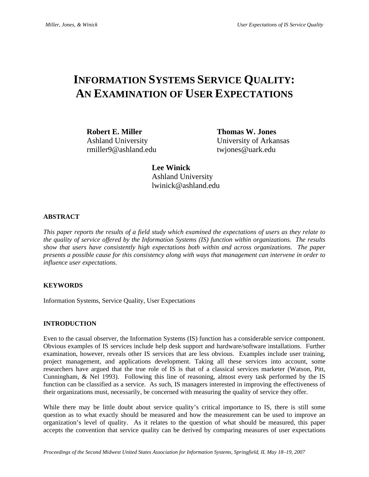## **INFORMATION SYSTEMS SERVICE QUALITY: AN EXAMINATION OF USER EXPECTATIONS**

**Robert E. Miller Thomas W. Jones** rmiller9@ashland.edu twjones@uark.edu

Ashland University University of Arkansas

**Lee Winick** Ashland University lwinick@ashland.edu

#### **ABSTRACT**

*This paper reports the results of a field study which examined the expectations of users as they relate to the quality of service offered by the Information Systems (IS) function within organizations. The results show that users have consistently high expectations both within and across organizations. The paper presents a possible cause for this consistency along with ways that management can intervene in order to influence user expectations.* 

#### **KEYWORDS**

Information Systems, Service Quality, User Expectations

#### **INTRODUCTION**

Even to the casual observer, the Information Systems (IS) function has a considerable service component. Obvious examples of IS services include help desk support and hardware/software installations. Further examination, however, reveals other IS services that are less obvious. Examples include user training, project management, and applications development. Taking all these services into account, some researchers have argued that the true role of IS is that of a classical services marketer (Watson, Pitt, Cunningham, & Nel 1993). Following this line of reasoning, almost every task performed by the IS function can be classified as a service. As such, IS managers interested in improving the effectiveness of their organizations must, necessarily, be concerned with measuring the quality of service they offer.

While there may be little doubt about service quality's critical importance to IS, there is still some question as to what exactly should be measured and how the measurement can be used to improve an organization's level of quality. As it relates to the question of what should be measured, this paper accepts the convention that service quality can be derived by comparing measures of user expectations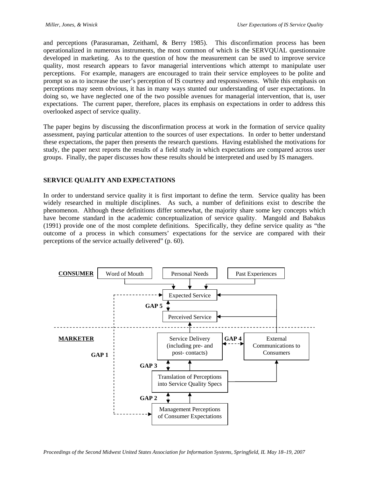and perceptions (Parasuraman, Zeithaml, & Berry 1985). This disconfirmation process has been operationalized in numerous instruments, the most common of which is the SERVQUAL questionnaire developed in marketing. As to the question of how the measurement can be used to improve service quality, most research appears to favor managerial interventions which attempt to manipulate user perceptions. For example, managers are encouraged to train their service employees to be polite and prompt so as to increase the user's perception of IS courtesy and responsiveness. While this emphasis on perceptions may seem obvious, it has in many ways stunted our understanding of user expectations. In doing so, we have neglected one of the two possible avenues for managerial intervention, that is, user expectations. The current paper, therefore, places its emphasis on expectations in order to address this overlooked aspect of service quality.

The paper begins by discussing the disconfirmation process at work in the formation of service quality assessment, paying particular attention to the sources of user expectations. In order to better understand these expectations, the paper then presents the research questions. Having established the motivations for study, the paper next reports the results of a field study in which expectations are compared across user groups. Finally, the paper discusses how these results should be interpreted and used by IS managers.

#### **SERVICE QUALITY AND EXPECTATIONS**

In order to understand service quality it is first important to define the term. Service quality has been widely researched in multiple disciplines. As such, a number of definitions exist to describe the phenomenon. Although these definitions differ somewhat, the majority share some key concepts which have become standard in the academic conceptualization of service quality. Mangold and Babakus (1991) provide one of the most complete definitions. Specifically, they define service quality as "the outcome of a process in which consumers' expectations for the service are compared with their perceptions of the service actually delivered" (p. 60).

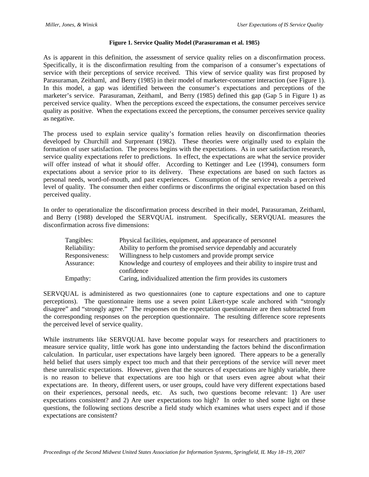#### **Figure 1. Service Quality Model (Parasuraman et al. 1985)**

As is apparent in this definition, the assessment of service quality relies on a disconfirmation process. Specifically, it is the disconfirmation resulting from the comparison of a consumer's expectations of service with their perceptions of service received. This view of service quality was first proposed by Parasuraman, Zeithaml, and Berry (1985) in their model of marketer-consumer interaction (see Figure 1). In this model, a gap was identified between the consumer's expectations and perceptions of the marketer's service. Parasuraman, Zeithaml, and Berry (1985) defined this gap (Gap 5 in Figure 1) as perceived service quality. When the perceptions exceed the expectations, the consumer perceives service quality as positive. When the expectations exceed the perceptions, the consumer perceives service quality as negative.

The process used to explain service quality's formation relies heavily on disconfirmation theories developed by Churchill and Surprenant (1982). These theories were originally used to explain the formation of user satisfaction. The process begins with the expectations. As in user satisfaction research, service quality expectations refer to predictions. In effect, the expectations are what the service provider *will* offer instead of what it *should* offer. According to Kettinger and Lee (1994), consumers form expectations about a service prior to its delivery. These expectations are based on such factors as personal needs, word-of-mouth, and past experiences. Consumption of the service reveals a perceived level of quality. The consumer then either confirms or disconfirms the original expectation based on this perceived quality.

In order to operationalize the disconfirmation process described in their model, Parasuraman, Zeithaml, and Berry (1988) developed the SERVQUAL instrument. Specifically, SERVQUAL measures the disconfirmation across five dimensions:

| Tangibles:      | Physical facilities, equipment, and appearance of personnel                              |
|-----------------|------------------------------------------------------------------------------------------|
| Reliability:    | Ability to perform the promised service dependably and accurately                        |
| Responsiveness: | Willingness to help customers and provide prompt service                                 |
| Assurance:      | Knowledge and courtesy of employees and their ability to inspire trust and<br>confidence |
| Empathy:        | Caring, individualized attention the firm provides its customers                         |

SERVQUAL is administered as two questionnaires (one to capture expectations and one to capture perceptions). The questionnaire items use a seven point Likert-type scale anchored with "strongly disagree" and "strongly agree." The responses on the expectation questionnaire are then subtracted from the corresponding responses on the perception questionnaire. The resulting difference score represents the perceived level of service quality.

While instruments like SERVQUAL have become popular ways for researchers and practitioners to measure service quality, little work has gone into understanding the factors behind the disconfirmation calculation. In particular, user expectations have largely been ignored. There appears to be a generally held belief that users simply expect too much and that their perceptions of the service will never meet these unrealistic expectations. However, given that the sources of expectations are highly variable, there is no reason to believe that expectations are too high or that users even agree about what their expectations are. In theory, different users, or user groups, could have very different expectations based on their experiences, personal needs, etc. As such, two questions become relevant: 1) Are user expectations consistent? and 2) Are user expectations too high? In order to shed some light on these questions, the following sections describe a field study which examines what users expect and if those expectations are consistent?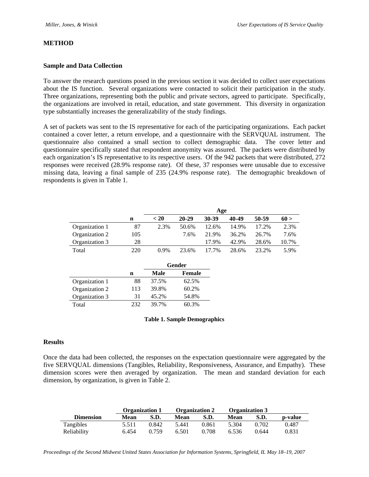#### **METHOD**

#### **Sample and Data Collection**

To answer the research questions posed in the previous section it was decided to collect user expectations about the IS function. Several organizations were contacted to solicit their participation in the study. Three organizations, representing both the public and private sectors, agreed to participate. Specifically, the organizations are involved in retail, education, and state government. This diversity in organization type substantially increases the generalizability of the study findings.

A set of packets was sent to the IS representative for each of the participating organizations. Each packet contained a cover letter, a return envelope, and a questionnaire with the SERVQUAL instrument. The questionnaire also contained a small section to collect demographic data. The cover letter and questionnaire specifically stated that respondent anonymity was assured. The packets were distributed by each organization's IS representative to its respective users. Of the 942 packets that were distributed, 272 responses were received (28.9% response rate). Of these, 37 responses were unusable due to excessive missing data, leaving a final sample of 235 (24.9% response rate). The demographic breakdown of respondents is given in Table 1.

|                |     | Age    |           |       |       |       |       |
|----------------|-----|--------|-----------|-------|-------|-------|-------|
|                | n   | $<$ 20 | $20 - 29$ | 30-39 | 40-49 | 50-59 | 60 >  |
| Organization 1 | 87  | 2.3%   | 50.6%     | 12.6% | 14.9% | 17.2% | 2.3%  |
| Organization 2 | 105 |        | 7.6%      | 21.9% | 36.2% | 26.7% | 7.6%  |
| Organization 3 | 28  |        |           | 17.9% | 42.9% | 28.6% | 10.7% |
| Total          | 220 | 0.9%   | 23.6%     | 17.7% | 28.6% | 23.2% | 5.9%  |

|                |     | Gender |        |  |
|----------------|-----|--------|--------|--|
|                | n   | Male   | Female |  |
| Organization 1 | 88  | 37.5%  | 62.5%  |  |
| Organization 2 | 113 | 39.8%  | 60.2%  |  |
| Organization 3 | 31  | 45.2%  | 54.8%  |  |
| Total          | 232 | 39.7%  | 60.3%  |  |

#### **Table 1. Sample Demographics**

#### **Results**

Once the data had been collected, the responses on the expectation questionnaire were aggregated by the five SERVQUAL dimensions (Tangibles, Reliability, Responsiveness, Assurance, and Empathy). These dimension scores were then averaged by organization. The mean and standard deviation for each dimension, by organization, is given in Table 2.

|                  | <b>Organization 1</b> |       | <b>Organization 2</b> |       | <b>Organization 3</b> |       |         |
|------------------|-----------------------|-------|-----------------------|-------|-----------------------|-------|---------|
| <b>Dimension</b> | Mean                  | S.D.  | Mean                  | S.D.  | <b>Mean</b>           | S.D.  | p-value |
| Tangibles        | 5.511                 | 0.842 | 5.441                 | 0.861 | 5.304                 | 0.702 | 0.487   |
| Reliability      | 6.454                 | 0.759 | 6.501                 | 0.708 | 6.536                 | 0.644 | 0.831   |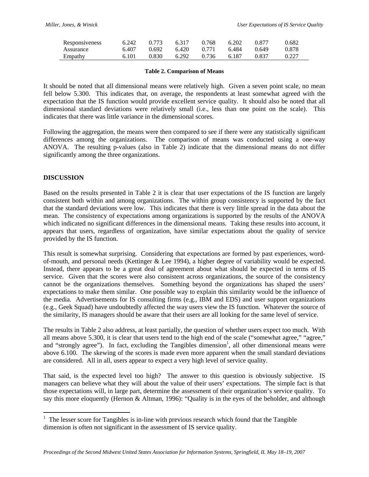| Responsiveness | 6.242 | 0.773 | 6.317 | 0.768 | 6.202 | 0.877 | 0.682 |
|----------------|-------|-------|-------|-------|-------|-------|-------|
| Assurance      | 6.407 | 0.692 | 6.420 | 0.771 | 6.484 | 0.649 | 0.878 |
| Empathy        | 6.101 | 0.830 | 6.292 | 0.736 | 6.187 | 0.837 | 0.227 |

#### **Table 2. Comparison of Means**

It should be noted that all dimensional means were relatively high. Given a seven point scale, no mean fell below 5.300. This indicates that, on average, the respondents at least somewhat agreed with the expectation that the IS function would provide excellent service quality. It should also be noted that all dimensional standard deviations were relatively small (i.e., less than one point on the scale). This indicates that there was little variance in the dimensional scores.

Following the aggregation, the means were then compared to see if there were any statistically significant differences among the organizations. The comparison of means was conducted using a one-way ANOVA. The resulting p-values (also in Table 2) indicate that the dimensional means do not differ significantly among the three organizations.

#### **DISCUSSION**

 $\overline{a}$ 

Based on the results presented in Table 2 it is clear that user expectations of the IS function are largely consistent both within and among organizations. The within group consistency is supported by the fact that the standard deviations were low. This indicates that there is very little spread in the data about the mean. The consistency of expectations among organizations is supported by the results of the ANOVA which indicated no significant differences in the dimensional means. Taking these results into account, it appears that users, regardless of organization, have similar expectations about the quality of service provided by the IS function.

This result is somewhat surprising. Considering that expectations are formed by past experiences, wordof-mouth, and personal needs (Kettinger & Lee 1994), a higher degree of variability would be expected. Instead, there appears to be a great deal of agreement about what should be expected in terms of IS service. Given that the scores were also consistent across organizations, the source of the consistency cannot be the organizations themselves. Something beyond the organizations has shaped the users' expectations to make them similar. One possible way to explain this similarity would be the influence of the media. Advertisements for IS consulting firms (e.g., IBM and EDS) and user support organizations (e.g., Geek Squad) have undoubtedly affected the way users view the IS function. Whatever the source of the similarity, IS managers should be aware that their users are all looking for the same level of service.

The results in Table 2 also address, at least partially, the question of whether users expect too much. With all means above 5.300, it is clear that users tend to the high end of the scale ("somewhat agree," "agree," and "strongly agree"). In fact, excluding the Tangibles dimension<sup>1</sup>, all other dimensional means were above 6.100. The skewing of the scores is made even more apparent when the small standard deviations are considered. All in all, users appear to expect a very high level of service quality.

That said, is the expected level too high? The answer to this question is obviously subjective. IS managers can believe what they will about the value of their users' expectations. The simple fact is that those expectations will, in large part, determine the assessment of their organization's service quality. To say this more eloquently (Hernon & Altman, 1996): "Quality is in the eyes of the beholder, and although

 $<sup>1</sup>$  The lesser score for Tangibles is in-line with previous research which found that the Tangible</sup> dimension is often not significant in the assessment of IS service quality.